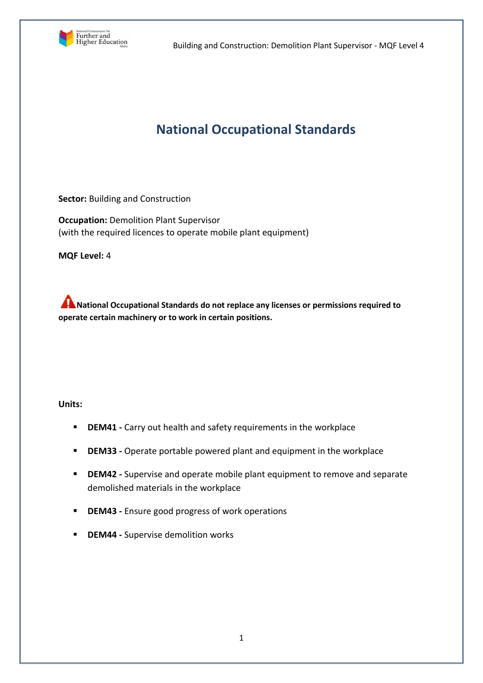

# **National Occupational Standards**

**Sector:** Building and Construction

**Occupation:** Demolition Plant Supervisor (with the required licences to operate mobile plant equipment)

**MQF Level:** 4

**A** National Occupational Standards do not replace any licenses or permissions required to **operate certain machinery or to work in certain positions.**

**Units:** 

- **DEM41 -** Carry out health and safety requirements in the workplace
- **DEM33 -** Operate portable powered plant and equipment in the workplace
- **DEM42 -** Supervise and operate mobile plant equipment to remove and separate demolished materials in the workplace
- **DEM43 -** Ensure good progress of work operations
- **DEM44 Supervise demolition works**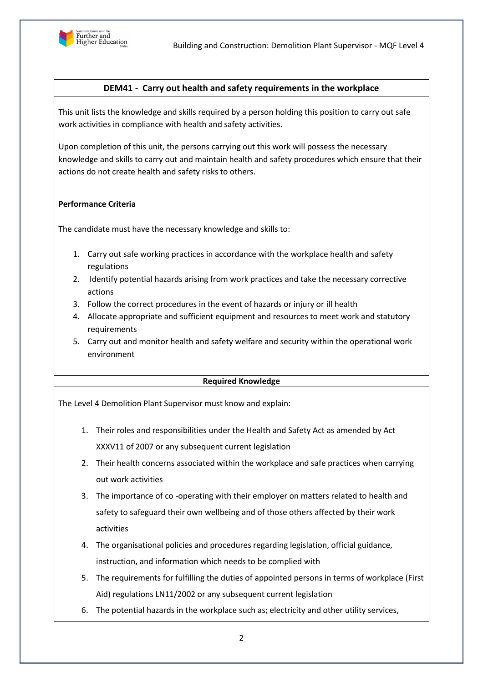

# **DEM41 - Carry out health and safety requirements in the workplace**

This unit lists the knowledge and skills required by a person holding this position to carry out safe work activities in compliance with health and safety activities.

Upon completion of this unit, the persons carrying out this work will possess the necessary knowledge and skills to carry out and maintain health and safety procedures which ensure that their actions do not create health and safety risks to others.

#### **Performance Criteria**

The candidate must have the necessary knowledge and skills to:

- 1. Carry out safe working practices in accordance with the workplace health and safety regulations
- 2. Identify potential hazards arising from work practices and take the necessary corrective actions
- 3. Follow the correct procedures in the event of hazards or injury or ill health
- 4. Allocate appropriate and sufficient equipment and resources to meet work and statutory requirements
- 5. Carry out and monitor health and safety welfare and security within the operational work environment

#### **Required Knowledge**

- 1. Their roles and responsibilities under the Health and Safety Act as amended by Act XXXV11 of 2007 or any subsequent current legislation
- 2. Their health concerns associated within the workplace and safe practices when carrying out work activities
- 3. The importance of co -operating with their employer on matters related to health and safety to safeguard their own wellbeing and of those others affected by their work activities
- 4. The organisational policies and procedures regarding legislation, official guidance, instruction, and information which needs to be complied with
- 5. The requirements for fulfilling the duties of appointed persons in terms of workplace (First Aid) regulations LN11/2002 or any subsequent current legislation
- 6. The potential hazards in the workplace such as; electricity and other utility services,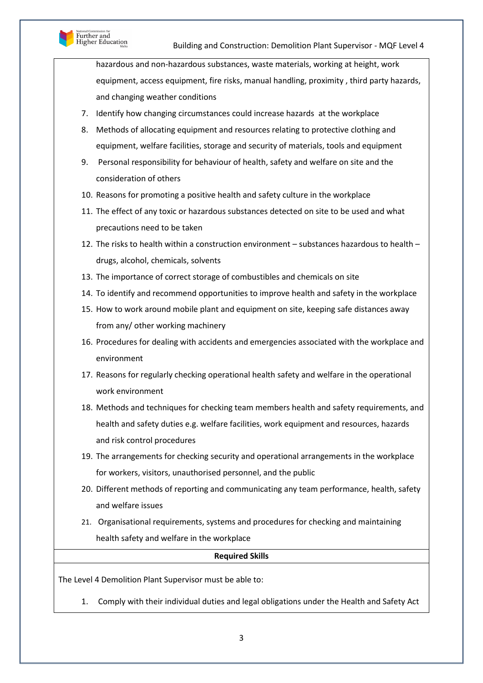

hazardous and non-hazardous substances, waste materials, working at height, work equipment, access equipment, fire risks, manual handling, proximity , third party hazards, and changing weather conditions

- 7. Identify how changing circumstances could increase hazards at the workplace
- 8. Methods of allocating equipment and resources relating to protective clothing and equipment, welfare facilities, storage and security of materials, tools and equipment
- 9. Personal responsibility for behaviour of health, safety and welfare on site and the consideration of others
- 10. Reasons for promoting a positive health and safety culture in the workplace
- 11. The effect of any toxic or hazardous substances detected on site to be used and what precautions need to be taken
- 12. The risks to health within a construction environment substances hazardous to health drugs, alcohol, chemicals, solvents
- 13. The importance of correct storage of combustibles and chemicals on site
- 14. To identify and recommend opportunities to improve health and safety in the workplace
- 15. How to work around mobile plant and equipment on site, keeping safe distances away from any/ other working machinery
- 16. Procedures for dealing with accidents and emergencies associated with the workplace and environment
- 17. Reasons for regularly checking operational health safety and welfare in the operational work environment
- 18. Methods and techniques for checking team members health and safety requirements, and health and safety duties e.g. welfare facilities, work equipment and resources, hazards and risk control procedures
- 19. The arrangements for checking security and operational arrangements in the workplace for workers, visitors, unauthorised personnel, and the public
- 20. Different methods of reporting and communicating any team performance, health, safety and welfare issues
- 21. Organisational requirements, systems and procedures for checking and maintaining health safety and welfare in the workplace

#### **Required Skills**

The Level 4 Demolition Plant Supervisor must be able to:

1. Comply with their individual duties and legal obligations under the Health and Safety Act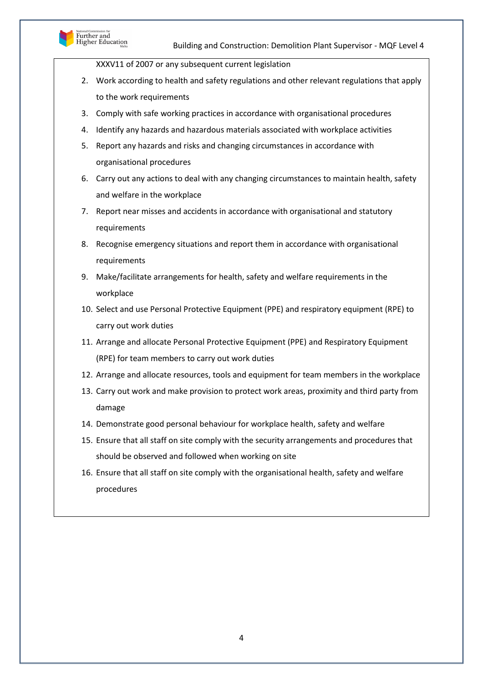

XXXV11 of 2007 or any subsequent current legislation

- 2. Work according to health and safety regulations and other relevant regulations that apply to the work requirements
- 3. Comply with safe working practices in accordance with organisational procedures
- 4. Identify any hazards and hazardous materials associated with workplace activities
- 5. Report any hazards and risks and changing circumstances in accordance with organisational procedures
- 6. Carry out any actions to deal with any changing circumstances to maintain health, safety and welfare in the workplace
- 7. Report near misses and accidents in accordance with organisational and statutory requirements
- 8. Recognise emergency situations and report them in accordance with organisational requirements
- 9. Make/facilitate arrangements for health, safety and welfare requirements in the workplace
- 10. Select and use Personal Protective Equipment (PPE) and respiratory equipment (RPE) to carry out work duties
- 11. Arrange and allocate Personal Protective Equipment (PPE) and Respiratory Equipment (RPE) for team members to carry out work duties
- 12. Arrange and allocate resources, tools and equipment for team members in the workplace
- 13. Carry out work and make provision to protect work areas, proximity and third party from damage
- 14. Demonstrate good personal behaviour for workplace health, safety and welfare
- 15. Ensure that all staff on site comply with the security arrangements and procedures that should be observed and followed when working on site
- 16. Ensure that all staff on site comply with the organisational health, safety and welfare procedures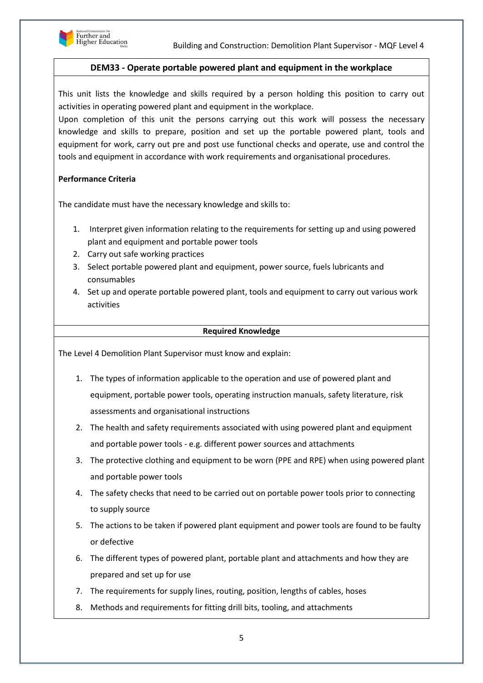

# **DEM33 - Operate portable powered plant and equipment in the workplace**

This unit lists the knowledge and skills required by a person holding this position to carry out activities in operating powered plant and equipment in the workplace.

Upon completion of this unit the persons carrying out this work will possess the necessary knowledge and skills to prepare, position and set up the portable powered plant, tools and equipment for work, carry out pre and post use functional checks and operate, use and control the tools and equipment in accordance with work requirements and organisational procedures.

# **Performance Criteria**

The candidate must have the necessary knowledge and skills to:

- 1. Interpret given information relating to the requirements for setting up and using powered plant and equipment and portable power tools
- 2. Carry out safe working practices
- 3. Select portable powered plant and equipment, power source, fuels lubricants and consumables
- 4. Set up and operate portable powered plant, tools and equipment to carry out various work activities

#### **Required Knowledge**

- 1. The types of information applicable to the operation and use of powered plant and equipment, portable power tools, operating instruction manuals, safety literature, risk assessments and organisational instructions
- 2. The health and safety requirements associated with using powered plant and equipment and portable power tools - e.g. different power sources and attachments
- 3. The protective clothing and equipment to be worn (PPE and RPE) when using powered plant and portable power tools
- 4. The safety checks that need to be carried out on portable power tools prior to connecting to supply source
- 5. The actions to be taken if powered plant equipment and power tools are found to be faulty or defective
- 6. The different types of powered plant, portable plant and attachments and how they are prepared and set up for use
- 7. The requirements for supply lines, routing, position, lengths of cables, hoses
- 8. Methods and requirements for fitting drill bits, tooling, and attachments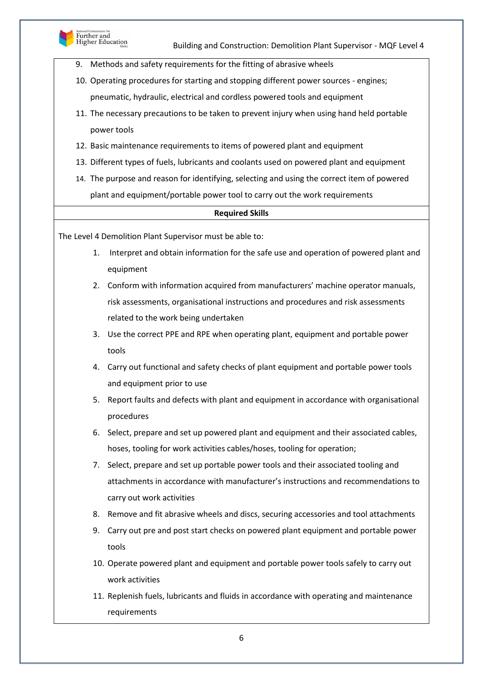

- 9. Methods and safety requirements for the fitting of abrasive wheels
- 10. Operating procedures for starting and stopping different power sources engines; pneumatic, hydraulic, electrical and cordless powered tools and equipment
- 11. The necessary precautions to be taken to prevent injury when using hand held portable power tools
- 12. Basic maintenance requirements to items of powered plant and equipment
- 13. Different types of fuels, lubricants and coolants used on powered plant and equipment
- 14. The purpose and reason for identifying, selecting and using the correct item of powered plant and equipment/portable power tool to carry out the work requirements

#### **Required Skills**

The Level 4 Demolition Plant Supervisor must be able to:

- 1. Interpret and obtain information for the safe use and operation of powered plant and equipment
- 2. Conform with information acquired from manufacturers' machine operator manuals, risk assessments, organisational instructions and procedures and risk assessments related to the work being undertaken
- 3. Use the correct PPE and RPE when operating plant, equipment and portable power tools
- 4. Carry out functional and safety checks of plant equipment and portable power tools and equipment prior to use
- 5. Report faults and defects with plant and equipment in accordance with organisational procedures
- 6. Select, prepare and set up powered plant and equipment and their associated cables, hoses, tooling for work activities cables/hoses, tooling for operation;
- 7. Select, prepare and set up portable power tools and their associated tooling and attachments in accordance with manufacturer's instructions and recommendations to carry out work activities
- 8. Remove and fit abrasive wheels and discs, securing accessories and tool attachments
- 9. Carry out pre and post start checks on powered plant equipment and portable power tools
- 10. Operate powered plant and equipment and portable power tools safely to carry out work activities
- 11. Replenish fuels, lubricants and fluids in accordance with operating and maintenance requirements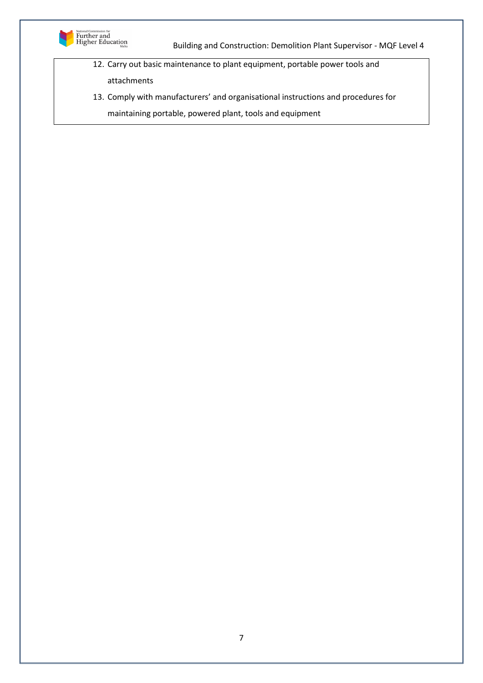

12. Carry out basic maintenance to plant equipment, portable power tools and attachments

13. Comply with manufacturers' and organisational instructions and procedures for

maintaining portable, powered plant, tools and equipment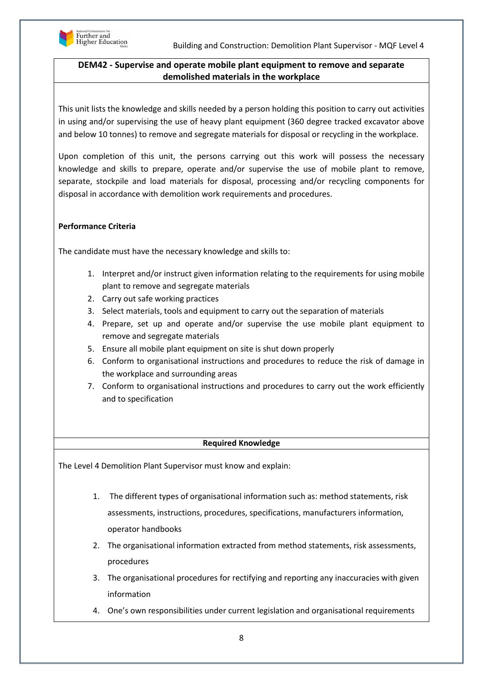

# **DEM42 - Supervise and operate mobile plant equipment to remove and separate demolished materials in the workplace**

This unit lists the knowledge and skills needed by a person holding this position to carry out activities in using and/or supervising the use of heavy plant equipment (360 degree tracked excavator above and below 10 tonnes) to remove and segregate materials for disposal or recycling in the workplace.

Upon completion of this unit, the persons carrying out this work will possess the necessary knowledge and skills to prepare, operate and/or supervise the use of mobile plant to remove, separate, stockpile and load materials for disposal, processing and/or recycling components for disposal in accordance with demolition work requirements and procedures.

# **Performance Criteria**

The candidate must have the necessary knowledge and skills to:

- 1. Interpret and/or instruct given information relating to the requirements for using mobile plant to remove and segregate materials
- 2. Carry out safe working practices
- 3. Select materials, tools and equipment to carry out the separation of materials
- 4. Prepare, set up and operate and/or supervise the use mobile plant equipment to remove and segregate materials
- 5. Ensure all mobile plant equipment on site is shut down properly
- 6. Conform to organisational instructions and procedures to reduce the risk of damage in the workplace and surrounding areas
- 7. Conform to organisational instructions and procedures to carry out the work efficiently and to specification

## **Required Knowledge**

- 1. The different types of organisational information such as: method statements, risk assessments, instructions, procedures, specifications, manufacturers information, operator handbooks
- 2. The organisational information extracted from method statements, risk assessments, procedures
- 3. The organisational procedures for rectifying and reporting any inaccuracies with given information
- 4. One's own responsibilities under current legislation and organisational requirements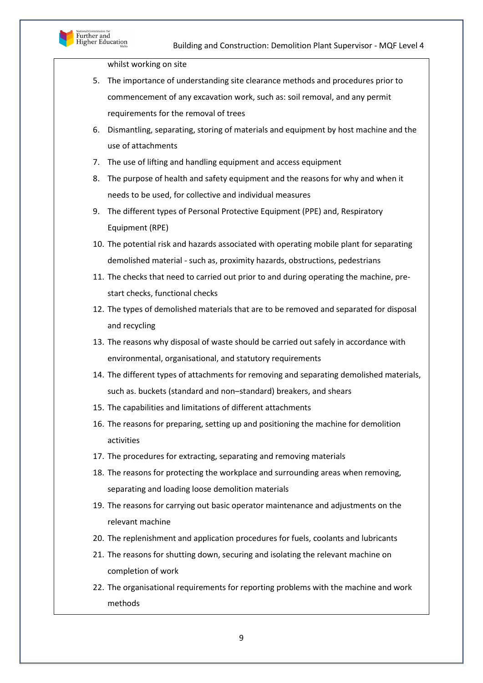

whilst working on site

- 5. The importance of understanding site clearance methods and procedures prior to commencement of any excavation work, such as: soil removal, and any permit requirements for the removal of trees
- 6. Dismantling, separating, storing of materials and equipment by host machine and the use of attachments
- 7. The use of lifting and handling equipment and access equipment
- 8. The purpose of health and safety equipment and the reasons for why and when it needs to be used, for collective and individual measures
- 9. The different types of Personal Protective Equipment (PPE) and, Respiratory Equipment (RPE)
- 10. The potential risk and hazards associated with operating mobile plant for separating demolished material - such as, proximity hazards, obstructions, pedestrians
- 11. The checks that need to carried out prior to and during operating the machine, prestart checks, functional checks
- 12. The types of demolished materials that are to be removed and separated for disposal and recycling
- 13. The reasons why disposal of waste should be carried out safely in accordance with environmental, organisational, and statutory requirements
- 14. The different types of attachments for removing and separating demolished materials, such as. buckets (standard and non–standard) breakers, and shears
- 15. The capabilities and limitations of different attachments
- 16. The reasons for preparing, setting up and positioning the machine for demolition activities
- 17. The procedures for extracting, separating and removing materials
- 18. The reasons for protecting the workplace and surrounding areas when removing, separating and loading loose demolition materials
- 19. The reasons for carrying out basic operator maintenance and adjustments on the relevant machine
- 20. The replenishment and application procedures for fuels, coolants and lubricants
- 21. The reasons for shutting down, securing and isolating the relevant machine on completion of work
- 22. The organisational requirements for reporting problems with the machine and work methods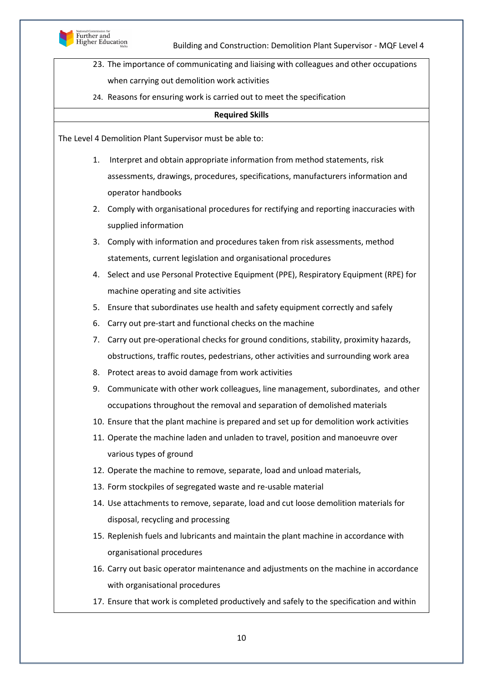

- 23. The importance of communicating and liaising with colleagues and other occupations when carrying out demolition work activities
- 24. Reasons for ensuring work is carried out to meet the specification

#### **Required Skills**

The Level 4 Demolition Plant Supervisor must be able to:

- 1. Interpret and obtain appropriate information from method statements, risk assessments, drawings, procedures, specifications, manufacturers information and operator handbooks
- 2. Comply with organisational procedures for rectifying and reporting inaccuracies with supplied information
- 3. Comply with information and procedures taken from risk assessments, method statements, current legislation and organisational procedures
- 4. Select and use Personal Protective Equipment (PPE), Respiratory Equipment (RPE) for machine operating and site activities
- 5. Ensure that subordinates use health and safety equipment correctly and safely
- 6. Carry out pre-start and functional checks on the machine
- 7. Carry out pre-operational checks for ground conditions, stability, proximity hazards, obstructions, traffic routes, pedestrians, other activities and surrounding work area
- 8. Protect areas to avoid damage from work activities
- 9. Communicate with other work colleagues, line management, subordinates, and other occupations throughout the removal and separation of demolished materials
- 10. Ensure that the plant machine is prepared and set up for demolition work activities
- 11. Operate the machine laden and unladen to travel, position and manoeuvre over various types of ground
- 12. Operate the machine to remove, separate, load and unload materials,
- 13. Form stockpiles of segregated waste and re-usable material
- 14. Use attachments to remove, separate, load and cut loose demolition materials for disposal, recycling and processing
- 15. Replenish fuels and lubricants and maintain the plant machine in accordance with organisational procedures
- 16. Carry out basic operator maintenance and adjustments on the machine in accordance with organisational procedures
- 17. Ensure that work is completed productively and safely to the specification and within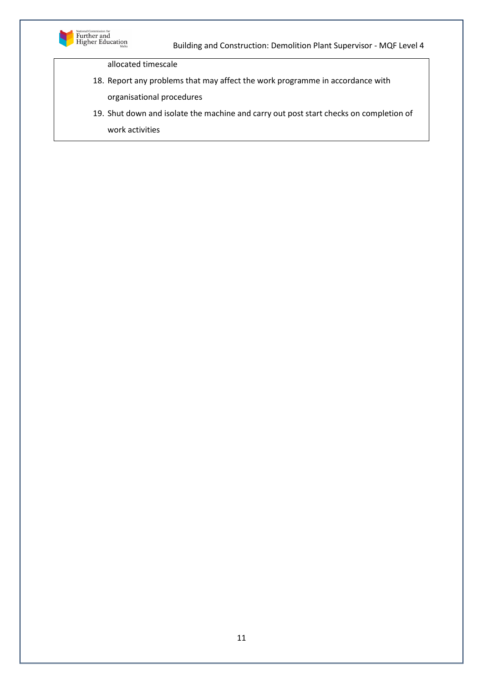

allocated timescale

- 18. Report any problems that may affect the work programme in accordance with organisational procedures
- 19. Shut down and isolate the machine and carry out post start checks on completion of work activities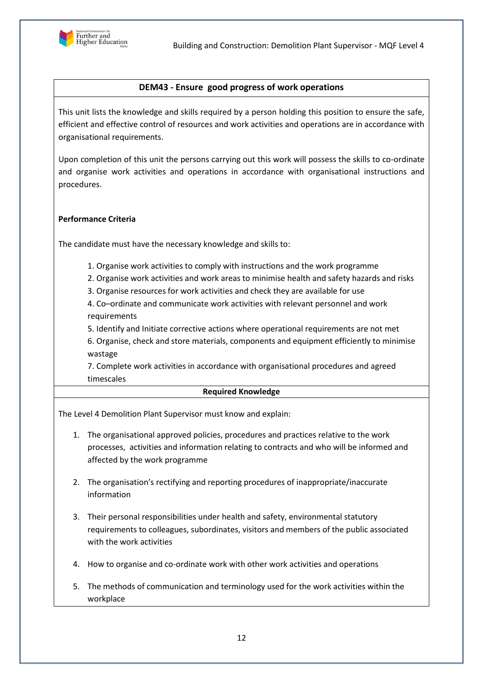

## **DEM43 - Ensure good progress of work operations**

This unit lists the knowledge and skills required by a person holding this position to ensure the safe, efficient and effective control of resources and work activities and operations are in accordance with organisational requirements.

Upon completion of this unit the persons carrying out this work will possess the skills to co-ordinate and organise work activities and operations in accordance with organisational instructions and procedures.

#### **Performance Criteria**

The candidate must have the necessary knowledge and skills to:

- 1. Organise work activities to comply with instructions and the work programme
- 2. Organise work activities and work areas to minimise health and safety hazards and risks
- 3. Organise resources for work activities and check they are available for use

4. Co–ordinate and communicate work activities with relevant personnel and work requirements

5. Identify and Initiate corrective actions where operational requirements are not met

6. Organise, check and store materials, components and equipment efficiently to minimise wastage

7. Complete work activities in accordance with organisational procedures and agreed timescales

#### **Required Knowledge**

- 1. The organisational approved policies, procedures and practices relative to the work processes, activities and information relating to contracts and who will be informed and affected by the work programme
- 2. The organisation's rectifying and reporting procedures of inappropriate/inaccurate information
- 3. Their personal responsibilities under health and safety, environmental statutory requirements to colleagues, subordinates, visitors and members of the public associated with the work activities
- 4. How to organise and co-ordinate work with other work activities and operations
- 5. The methods of communication and terminology used for the work activities within the workplace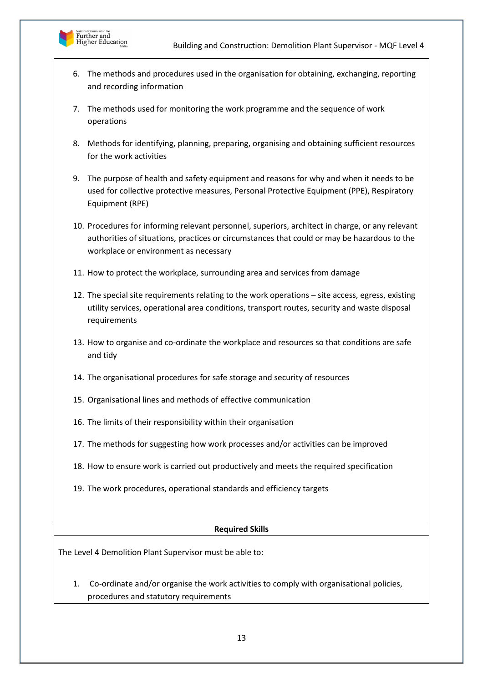



- 6. The methods and procedures used in the organisation for obtaining, exchanging, reporting and recording information
- 7. The methods used for monitoring the work programme and the sequence of work operations
- 8. Methods for identifying, planning, preparing, organising and obtaining sufficient resources for the work activities
- 9. The purpose of health and safety equipment and reasons for why and when it needs to be used for collective protective measures, Personal Protective Equipment (PPE), Respiratory Equipment (RPE)
- 10. Procedures for informing relevant personnel, superiors, architect in charge, or any relevant authorities of situations, practices or circumstances that could or may be hazardous to the workplace or environment as necessary
- 11. How to protect the workplace, surrounding area and services from damage
- 12. The special site requirements relating to the work operations site access, egress, existing utility services, operational area conditions, transport routes, security and waste disposal requirements
- 13. How to organise and co-ordinate the workplace and resources so that conditions are safe and tidy
- 14. The organisational procedures for safe storage and security of resources
- 15. Organisational lines and methods of effective communication
- 16. The limits of their responsibility within their organisation
- 17. The methods for suggesting how work processes and/or activities can be improved
- 18. How to ensure work is carried out productively and meets the required specification
- 19. The work procedures, operational standards and efficiency targets

## **Required Skills**

The Level 4 Demolition Plant Supervisor must be able to:

1. Co-ordinate and/or organise the work activities to comply with organisational policies, procedures and statutory requirements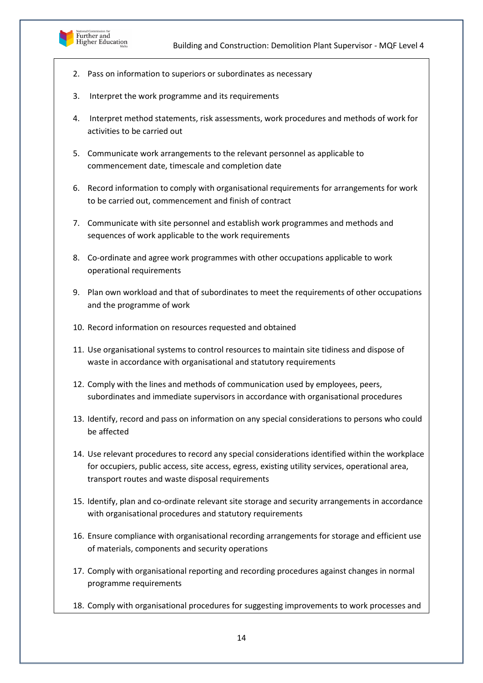

- 2. Pass on information to superiors or subordinates as necessary
- 3. Interpret the work programme and its requirements
- 4. Interpret method statements, risk assessments, work procedures and methods of work for activities to be carried out
- 5. Communicate work arrangements to the relevant personnel as applicable to commencement date, timescale and completion date
- 6. Record information to comply with organisational requirements for arrangements for work to be carried out, commencement and finish of contract
- 7. Communicate with site personnel and establish work programmes and methods and sequences of work applicable to the work requirements
- 8. Co-ordinate and agree work programmes with other occupations applicable to work operational requirements
- 9. Plan own workload and that of subordinates to meet the requirements of other occupations and the programme of work
- 10. Record information on resources requested and obtained
- 11. Use organisational systems to control resources to maintain site tidiness and dispose of waste in accordance with organisational and statutory requirements
- 12. Comply with the lines and methods of communication used by employees, peers, subordinates and immediate supervisors in accordance with organisational procedures
- 13. Identify, record and pass on information on any special considerations to persons who could be affected
- 14. Use relevant procedures to record any special considerations identified within the workplace for occupiers, public access, site access, egress, existing utility services, operational area, transport routes and waste disposal requirements
- 15. Identify, plan and co-ordinate relevant site storage and security arrangements in accordance with organisational procedures and statutory requirements
- 16. Ensure compliance with organisational recording arrangements for storage and efficient use of materials, components and security operations
- 17. Comply with organisational reporting and recording procedures against changes in normal programme requirements
- 18. Comply with organisational procedures for suggesting improvements to work processes and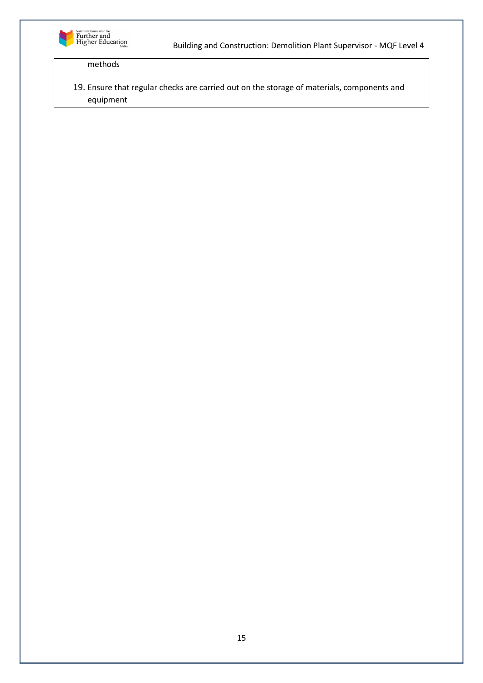

# methods

19. Ensure that regular checks are carried out on the storage of materials, components and equipment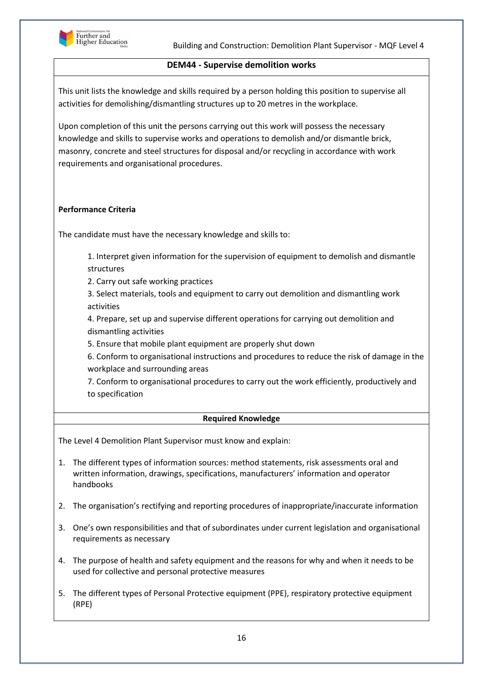

## **DEM44 - Supervise demolition works**

This unit lists the knowledge and skills required by a person holding this position to supervise all activities for demolishing/dismantling structures up to 20 metres in the workplace.

Upon completion of this unit the persons carrying out this work will possess the necessary knowledge and skills to supervise works and operations to demolish and/or dismantle brick, masonry, concrete and steel structures for disposal and/or recycling in accordance with work requirements and organisational procedures.

## **Performance Criteria**

The candidate must have the necessary knowledge and skills to:

1. Interpret given information for the supervision of equipment to demolish and dismantle structures

2. Carry out safe working practices

3. Select materials, tools and equipment to carry out demolition and dismantling work activities

4. Prepare, set up and supervise different operations for carrying out demolition and dismantling activities

5. Ensure that mobile plant equipment are properly shut down

6. Conform to organisational instructions and procedures to reduce the risk of damage in the workplace and surrounding areas

7. Conform to organisational procedures to carry out the work efficiently, productively and to specification

## **Required Knowledge**

- 1. The different types of information sources: method statements, risk assessments oral and written information, drawings, specifications, manufacturers' information and operator handbooks
- 2. The organisation's rectifying and reporting procedures of inappropriate/inaccurate information
- 3. One's own responsibilities and that of subordinates under current legislation and organisational requirements as necessary
- 4. The purpose of health and safety equipment and the reasons for why and when it needs to be used for collective and personal protective measures
- 5. The different types of Personal Protective equipment (PPE), respiratory protective equipment (RPE)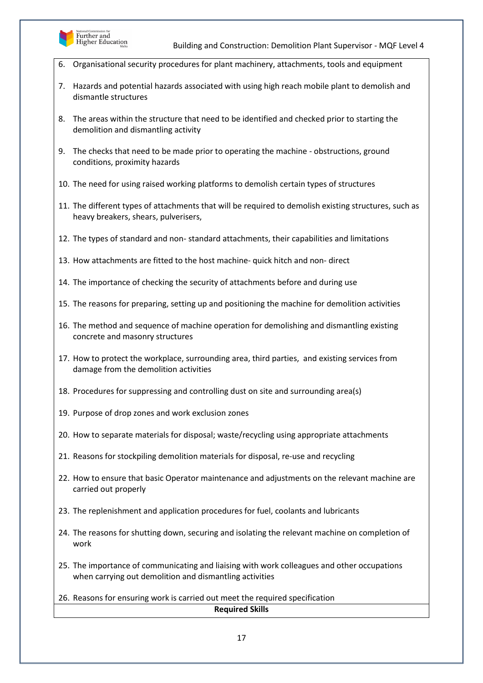

- 6. Organisational security procedures for plant machinery, attachments, tools and equipment
- 7. Hazards and potential hazards associated with using high reach mobile plant to demolish and dismantle structures
- 8. The areas within the structure that need to be identified and checked prior to starting the demolition and dismantling activity
- 9. The checks that need to be made prior to operating the machine obstructions, ground conditions, proximity hazards
- 10. The need for using raised working platforms to demolish certain types of structures
- 11. The different types of attachments that will be required to demolish existing structures, such as heavy breakers, shears, pulverisers,
- 12. The types of standard and non- standard attachments, their capabilities and limitations
- 13. How attachments are fitted to the host machine- quick hitch and non- direct
- 14. The importance of checking the security of attachments before and during use
- 15. The reasons for preparing, setting up and positioning the machine for demolition activities
- 16. The method and sequence of machine operation for demolishing and dismantling existing concrete and masonry structures
- 17. How to protect the workplace, surrounding area, third parties, and existing services from damage from the demolition activities
- 18. Procedures for suppressing and controlling dust on site and surrounding area(s)
- 19. Purpose of drop zones and work exclusion zones
- 20. How to separate materials for disposal; waste/recycling using appropriate attachments
- 21. Reasons for stockpiling demolition materials for disposal, re-use and recycling
- 22. How to ensure that basic Operator maintenance and adjustments on the relevant machine are carried out properly
- 23. The replenishment and application procedures for fuel, coolants and lubricants
- 24. The reasons for shutting down, securing and isolating the relevant machine on completion of work
- 25. The importance of communicating and liaising with work colleagues and other occupations when carrying out demolition and dismantling activities
- 26. Reasons for ensuring work is carried out meet the required specification **Required Skills**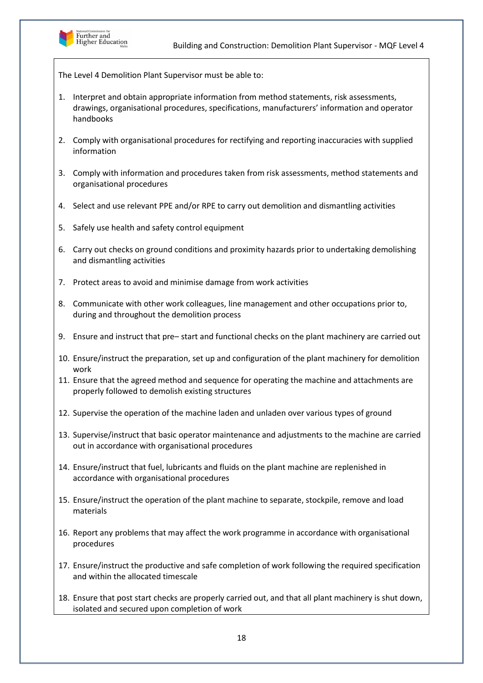

The Level 4 Demolition Plant Supervisor must be able to:

- 1. Interpret and obtain appropriate information from method statements, risk assessments, drawings, organisational procedures, specifications, manufacturers' information and operator handbooks
- 2. Comply with organisational procedures for rectifying and reporting inaccuracies with supplied information
- 3. Comply with information and procedures taken from risk assessments, method statements and organisational procedures
- 4. Select and use relevant PPE and/or RPE to carry out demolition and dismantling activities
- 5. Safely use health and safety control equipment
- 6. Carry out checks on ground conditions and proximity hazards prior to undertaking demolishing and dismantling activities
- 7. Protect areas to avoid and minimise damage from work activities
- 8. Communicate with other work colleagues, line management and other occupations prior to, during and throughout the demolition process
- 9. Ensure and instruct that pre– start and functional checks on the plant machinery are carried out
- 10. Ensure/instruct the preparation, set up and configuration of the plant machinery for demolition work
- 11. Ensure that the agreed method and sequence for operating the machine and attachments are properly followed to demolish existing structures
- 12. Supervise the operation of the machine laden and unladen over various types of ground
- 13. Supervise/instruct that basic operator maintenance and adjustments to the machine are carried out in accordance with organisational procedures
- 14. Ensure/instruct that fuel, lubricants and fluids on the plant machine are replenished in accordance with organisational procedures
- 15. Ensure/instruct the operation of the plant machine to separate, stockpile, remove and load materials
- 16. Report any problems that may affect the work programme in accordance with organisational procedures
- 17. Ensure/instruct the productive and safe completion of work following the required specification and within the allocated timescale
- 18. Ensure that post start checks are properly carried out, and that all plant machinery is shut down, isolated and secured upon completion of work